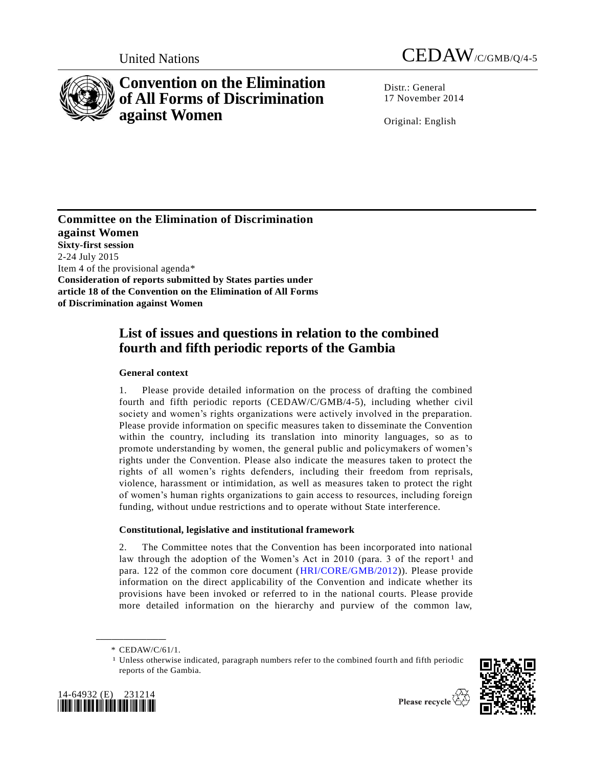

# **Convention on the Elimination of All Forms of Discrimination against Women**



Distr.: General 17 November 2014

Original: English

**Committee on the Elimination of Discrimination against Women Sixty-first session**  2-24 July 2015 Item 4 of the provisional agenda\* **Consideration of reports submitted by States parties under article 18 of the Convention on the Elimination of All Forms of Discrimination against Women**

## **List of issues and questions in relation to the combined fourth and fifth periodic reports of the Gambia**

## **General context**

1. Please provide detailed information on the process of drafting the combined fourth and fifth periodic reports (CEDAW/C/GMB/4-5), including whether civil society and women's rights organizations were actively involved in the preparation. Please provide information on specific measures taken to disseminate the Convention within the country, including its translation into minority languages, so as to promote understanding by women, the general public and policymakers of women's rights under the Convention. Please also indicate the measures taken to protect the rights of all women's rights defenders, including their freedom from reprisals, violence, harassment or intimidation, as well as measures taken to protect the right of women's human rights organizations to gain access to resources, including foreign funding, without undue restrictions and to operate without State interference.

## **Constitutional, legislative and institutional framework**

2. The Committee notes that the Convention has been incorporated into national law through the adoption of the Women's Act in 2010 (para. 3 of the report<sup>1</sup> and para. 122 of the common core document [\(HRI/CORE/GMB/2012\)](http://undocs.org/HRI/CORE/GMB/2012)). Please provide information on the direct applicability of the Convention and indicate whether its provisions have been invoked or referred to in the national courts. Please provide more detailed information on the hierarchy and purview of the common law,

**\_\_\_\_\_\_\_\_\_\_\_\_\_\_\_\_\_\_**

<sup>1</sup> Unless otherwise indicated, paragraph numbers refer to the combined fourth and fifth periodic reports of the Gambia.





<sup>\*</sup> CEDAW/C/61/1.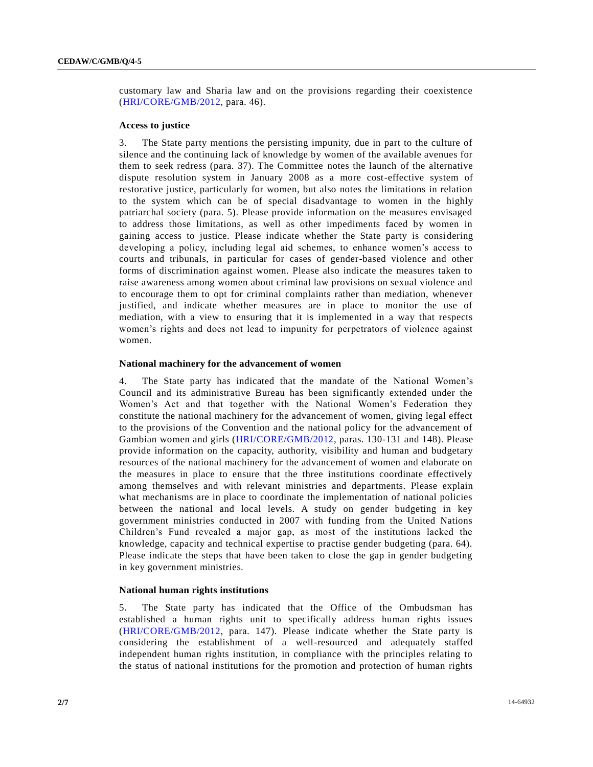customary law and Sharia law and on the provisions regarding their coexistence [\(HRI/CORE/GMB/2012,](http://undocs.org/HRI/CORE/GMB/2012) para. 46).

#### **Access to justice**

3. The State party mentions the persisting impunity, due in part to the culture of silence and the continuing lack of knowledge by women of the available avenues for them to seek redress (para. 37). The Committee notes the launch of the alternative dispute resolution system in January 2008 as a more cost-effective system of restorative justice, particularly for women, but also notes the limitations in relation to the system which can be of special disadvantage to women in the highly patriarchal society (para. 5). Please provide information on the measures envisaged to address those limitations, as well as other impediments faced by women in gaining access to justice. Please indicate whether the State party is considering developing a policy, including legal aid schemes, to enhance women's access to courts and tribunals, in particular for cases of gender-based violence and other forms of discrimination against women. Please also indicate the measures taken to raise awareness among women about criminal law provisions on sexual violence and to encourage them to opt for criminal complaints rather than mediation, whenever justified, and indicate whether measures are in place to monitor the use of mediation, with a view to ensuring that it is implemented in a way that respects women's rights and does not lead to impunity for perpetrators of violence against women.

#### **National machinery for the advancement of women**

4. The State party has indicated that the mandate of the National Women's Council and its administrative Bureau has been significantly extended under the Women's Act and that together with the National Women's Federation they constitute the national machinery for the advancement of women, giving legal effect to the provisions of the Convention and the national policy for the advancement of Gambian women and girls [\(HRI/CORE/GMB/2012,](http://undocs.org/HRI/CORE/GMB/2012) paras. 130-131 and 148). Please provide information on the capacity, authority, visibility and human and budgetary resources of the national machinery for the advancement of women and elaborate on the measures in place to ensure that the three institutions coordinate effectively among themselves and with relevant ministries and departments. Please explain what mechanisms are in place to coordinate the implementation of national policies between the national and local levels. A study on gender budgeting in key government ministries conducted in 2007 with funding from the United Nations Children's Fund revealed a major gap, as most of the institutions lacked the knowledge, capacity and technical expertise to practise gender budgeting (para. 64). Please indicate the steps that have been taken to close the gap in gender budgeting in key government ministries.

#### **National human rights institutions**

5. The State party has indicated that the Office of the Ombudsman has established a human rights unit to specifically address human rights issues [\(HRI/CORE/GMB/2012,](http://undocs.org/HRI/CORE/GMB/2012) para. 147). Please indicate whether the State party is considering the establishment of a well-resourced and adequately staffed independent human rights institution, in compliance with the principles relating to the status of national institutions for the promotion and protection of human rights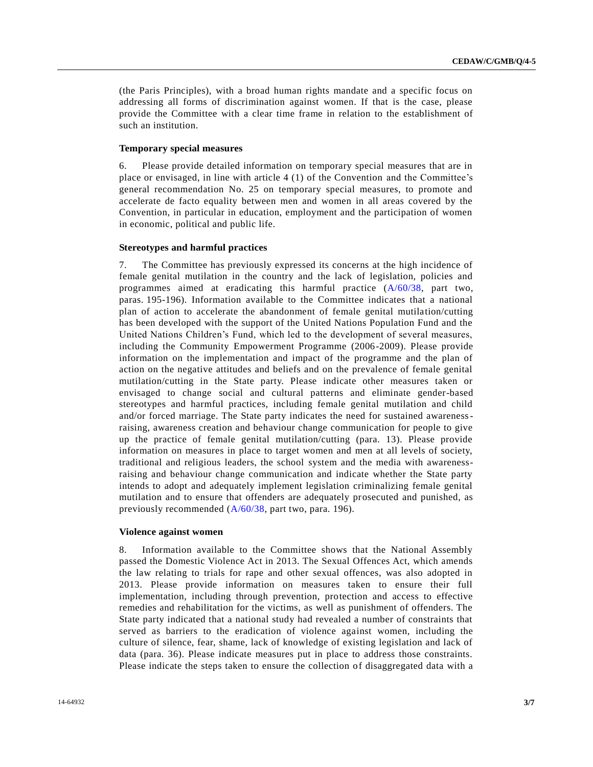(the Paris Principles), with a broad human rights mandate and a specific focus on addressing all forms of discrimination against women. If that is the case, please provide the Committee with a clear time frame in relation to the establishment of such an institution.

#### **Temporary special measures**

6. Please provide detailed information on temporary special measures that are in place or envisaged, in line with article 4 (1) of the Convention and the Committee's general recommendation No. 25 on temporary special measures, to promote and accelerate de facto equality between men and women in all areas covered by the Convention, in particular in education, employment and the participation of women in economic, political and public life.

#### **Stereotypes and harmful practices**

7. The Committee has previously expressed its concerns at the high incidence of female genital mutilation in the country and the lack of legislation, policies and programmes aimed at eradicating this harmful practice [\(A/60/38,](http://undocs.org/A/60/38) part two, paras. 195-196). Information available to the Committee indicates that a national plan of action to accelerate the abandonment of female genital mutilation/cutting has been developed with the support of the United Nations Population Fund and the United Nations Children's Fund, which led to the development of several measures, including the Community Empowerment Programme (2006-2009). Please provide information on the implementation and impact of the programme and the plan of action on the negative attitudes and beliefs and on the prevalence of female genital mutilation/cutting in the State party. Please indicate other measures taken or envisaged to change social and cultural patterns and eliminate gender-based stereotypes and harmful practices, including female genital mutilation and child and/or forced marriage. The State party indicates the need for sustained awarenessraising, awareness creation and behaviour change communication for people to give up the practice of female genital mutilation/cutting (para. 13). Please provide information on measures in place to target women and men at all levels of society, traditional and religious leaders, the school system and the media with awarenessraising and behaviour change communication and indicate whether the State party intends to adopt and adequately implement legislation criminalizing female genital mutilation and to ensure that offenders are adequately prosecuted and punished, as previously recommended [\(A/60/38,](http://undocs.org/A/60/38) part two, para. 196).

#### **Violence against women**

8. Information available to the Committee shows that the National Assembly passed the Domestic Violence Act in 2013. The Sexual Offences Act, which amends the law relating to trials for rape and other sexual offences, was also adopted in 2013. Please provide information on measures taken to ensure their full implementation, including through prevention, protection and access to effective remedies and rehabilitation for the victims, as well as punishment of offenders. The State party indicated that a national study had revealed a number of constraints that served as barriers to the eradication of violence against women, including the culture of silence, fear, shame, lack of knowledge of existing legislation and lack of data (para. 36). Please indicate measures put in place to address those constraints. Please indicate the steps taken to ensure the collection of disaggregated data with a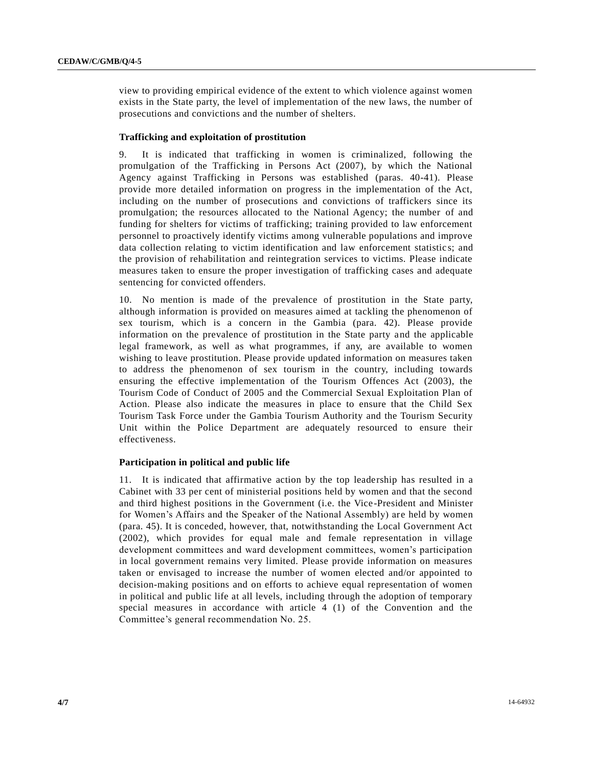view to providing empirical evidence of the extent to which violence against women exists in the State party, the level of implementation of the new laws, the number of prosecutions and convictions and the number of shelters.

#### **Trafficking and exploitation of prostitution**

9. It is indicated that trafficking in women is criminalized, following the promulgation of the Trafficking in Persons Act (2007), by which the National Agency against Trafficking in Persons was established (paras. 40-41). Please provide more detailed information on progress in the implementation of the Act, including on the number of prosecutions and convictions of traffickers since its promulgation; the resources allocated to the National Agency; the number of and funding for shelters for victims of trafficking; training provided to law enforcement personnel to proactively identify victims among vulnerable populations and improve data collection relating to victim identification and law enforcement statistic s; and the provision of rehabilitation and reintegration services to victims. Please indicate measures taken to ensure the proper investigation of trafficking cases and adequate sentencing for convicted offenders.

10. No mention is made of the prevalence of prostitution in the State party, although information is provided on measures aimed at tackling the phenomenon of sex tourism, which is a concern in the Gambia (para. 42). Please provide information on the prevalence of prostitution in the State party and the applicable legal framework, as well as what programmes, if any, are available to women wishing to leave prostitution. Please provide updated information on measures taken to address the phenomenon of sex tourism in the country, including towards ensuring the effective implementation of the Tourism Offences Act (2003), the Tourism Code of Conduct of 2005 and the Commercial Sexual Exploitation Plan of Action. Please also indicate the measures in place to ensure that the Child Sex Tourism Task Force under the Gambia Tourism Authority and the Tourism Security Unit within the Police Department are adequately resourced to ensure their effectiveness.

#### **Participation in political and public life**

11. It is indicated that affirmative action by the top leadership has resulted in a Cabinet with 33 per cent of ministerial positions held by women and that the second and third highest positions in the Government (i.e. the Vice-President and Minister for Women's Affairs and the Speaker of the National Assembly) are held by women (para. 45). It is conceded, however, that, notwithstanding the Local Government Act (2002), which provides for equal male and female representation in village development committees and ward development committees, women's participation in local government remains very limited. Please provide information on measures taken or envisaged to increase the number of women elected and/or appointed to decision-making positions and on efforts to achieve equal representation of women in political and public life at all levels, including through the adoption of temporary special measures in accordance with article 4 (1) of the Convention and the Committee's general recommendation No. 25.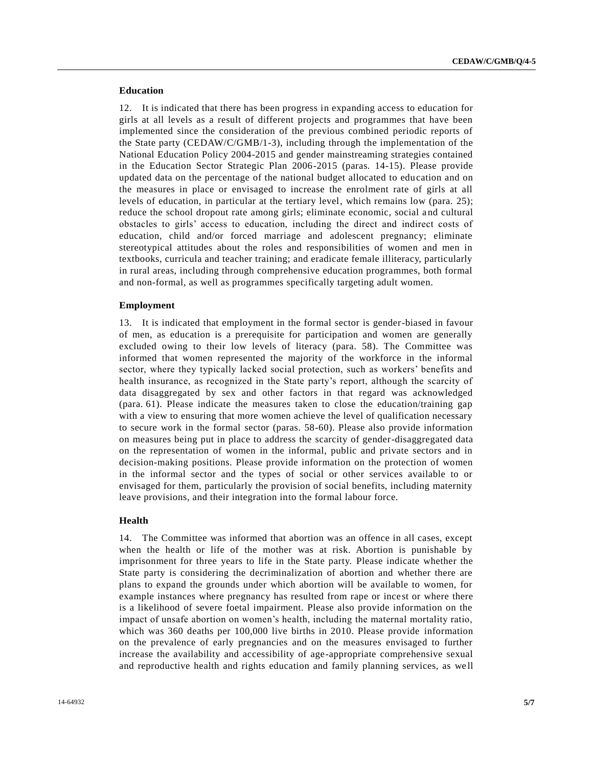### **Education**

12. It is indicated that there has been progress in expanding access to education for girls at all levels as a result of different projects and programmes that have been implemented since the consideration of the previous combined periodic reports of the State party (CEDAW/C/GMB/1-3), including through the implementation of the National Education Policy 2004-2015 and gender mainstreaming strategies contained in the Education Sector Strategic Plan 2006-2015 (paras. 14-15). Please provide updated data on the percentage of the national budget allocated to education and on the measures in place or envisaged to increase the enrolment rate of girls at all levels of education, in particular at the tertiary level, which remains low (para. 25); reduce the school dropout rate among girls; eliminate economic, social and cultural obstacles to girls' access to education, including the direct and indirect costs of education, child and/or forced marriage and adolescent pregnancy; eliminate stereotypical attitudes about the roles and responsibilities of women and men in textbooks, curricula and teacher training; and eradicate female illiteracy, particularly in rural areas, including through comprehensive education programmes, both formal and non-formal, as well as programmes specifically targeting adult women.

#### **Employment**

13. It is indicated that employment in the formal sector is gender-biased in favour of men, as education is a prerequisite for participation and women are generally excluded owing to their low levels of literacy (para. 58). The Committee was informed that women represented the majority of the workforce in the informal sector, where they typically lacked social protection, such as workers' benefits and health insurance, as recognized in the State party's report, although the scarcity of data disaggregated by sex and other factors in that regard was acknowledged (para. 61). Please indicate the measures taken to close the education/training gap with a view to ensuring that more women achieve the level of qualification necessary to secure work in the formal sector (paras. 58-60). Please also provide information on measures being put in place to address the scarcity of gender-disaggregated data on the representation of women in the informal, public and private sectors and in decision-making positions. Please provide information on the protection of women in the informal sector and the types of social or other services available to or envisaged for them, particularly the provision of social benefits, including maternity leave provisions, and their integration into the formal labour force.

#### **Health**

14. The Committee was informed that abortion was an offence in all cases, except when the health or life of the mother was at risk. Abortion is punishable by imprisonment for three years to life in the State party. Please indicate whether the State party is considering the decriminalization of abortion and whether there are plans to expand the grounds under which abortion will be available to women, for example instances where pregnancy has resulted from rape or incest or where there is a likelihood of severe foetal impairment. Please also provide information on the impact of unsafe abortion on women's health, including the maternal mortality ratio, which was 360 deaths per 100,000 live births in 2010. Please provide information on the prevalence of early pregnancies and on the measures envisaged to further increase the availability and accessibility of age-appropriate comprehensive sexual and reproductive health and rights education and family planning services, as we ll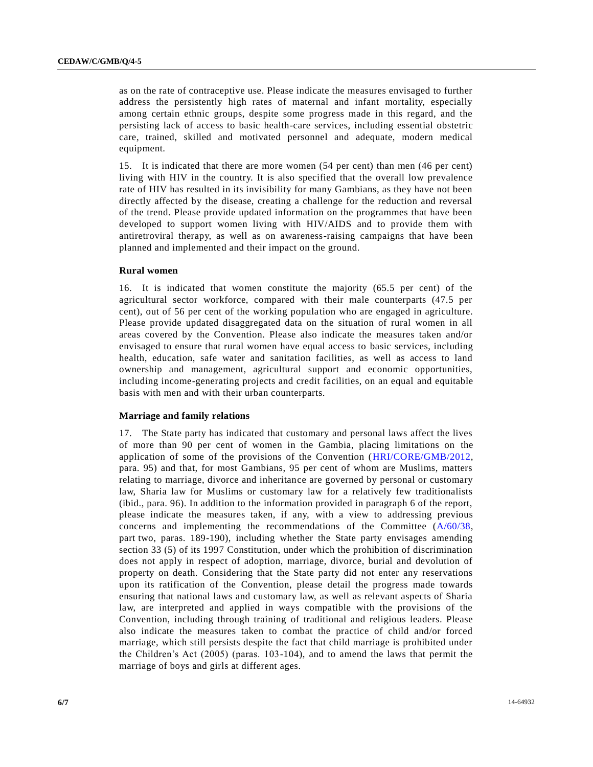as on the rate of contraceptive use. Please indicate the measures envisaged to further address the persistently high rates of maternal and infant mortality, especially among certain ethnic groups, despite some progress made in this regard, and the persisting lack of access to basic health-care services, including essential obstetric care, trained, skilled and motivated personnel and adequate, modern medical equipment.

15. It is indicated that there are more women (54 per cent) than men (46 per cent) living with HIV in the country. It is also specified that the overall low prevalence rate of HIV has resulted in its invisibility for many Gambians, as they have not been directly affected by the disease, creating a challenge for the reduction and reversal of the trend. Please provide updated information on the programmes that have been developed to support women living with HIV/AIDS and to provide them with antiretroviral therapy, as well as on awareness-raising campaigns that have been planned and implemented and their impact on the ground.

#### **Rural women**

16. It is indicated that women constitute the majority (65.5 per cent) of the agricultural sector workforce, compared with their male counterparts (47.5 per cent), out of 56 per cent of the working population who are engaged in agriculture. Please provide updated disaggregated data on the situation of rural women in all areas covered by the Convention. Please also indicate the measures taken and/or envisaged to ensure that rural women have equal access to basic services, including health, education, safe water and sanitation facilities, as well as access to land ownership and management, agricultural support and economic opportunities, including income-generating projects and credit facilities, on an equal and equitable basis with men and with their urban counterparts.

#### **Marriage and family relations**

17. The State party has indicated that customary and personal laws affect the lives of more than 90 per cent of women in the Gambia, placing limitations on the application of some of the provisions of the Convention [\(HRI/CORE/GMB/2012,](http://undocs.org/HRI/CORE/GMB/2012) para. 95) and that, for most Gambians, 95 per cent of whom are Muslims, matters relating to marriage, divorce and inheritance are governed by personal or customary law, Sharia law for Muslims or customary law for a relatively few traditionalists (ibid., para. 96). In addition to the information provided in paragraph 6 of the report, please indicate the measures taken, if any, with a view to addressing previous concerns and implementing the recommendations of the Committee [\(A/60/38,](http://undocs.org/A/60/38) part two, paras. 189-190), including whether the State party envisages amending section 33 (5) of its 1997 Constitution, under which the prohibition of discrimination does not apply in respect of adoption, marriage, divorce, burial and devolution of property on death. Considering that the State party did not enter any reservations upon its ratification of the Convention, please detail the progress made towards ensuring that national laws and customary law, as well as relevant aspects of Sharia law, are interpreted and applied in ways compatible with the provisions of the Convention, including through training of traditional and religious leaders. Please also indicate the measures taken to combat the practice of child and/or forced marriage, which still persists despite the fact that child marriage is prohibited under the Children's Act (2005) (paras. 103-104), and to amend the laws that permit the marriage of boys and girls at different ages.